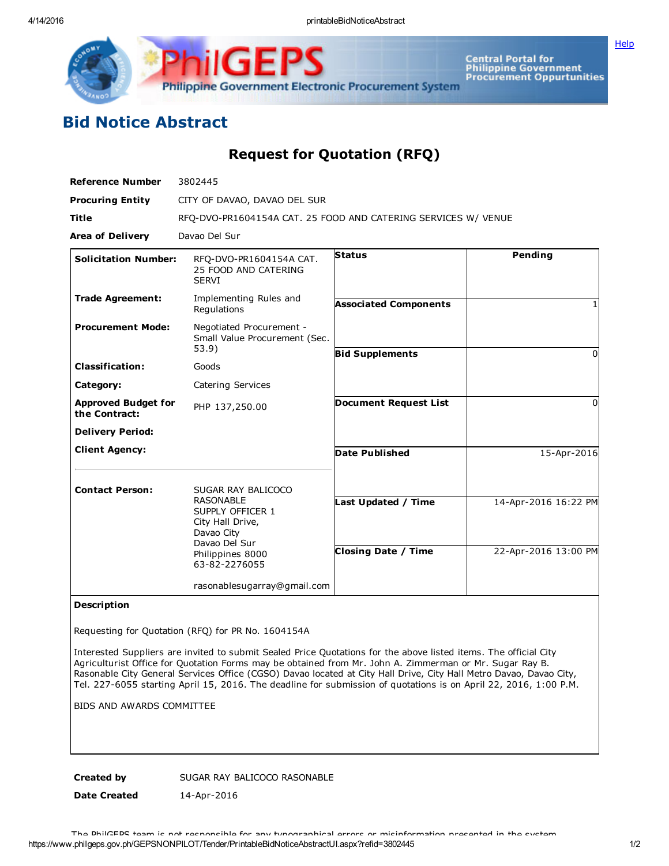IGF Philippine Government Electronic Procurement System

Central Portal for<br>Philippine Government<br>Procurement Oppurtunities

**[Help](javascript:void(window.open()** 

## Bid Notice Abstract

Request for Quotation (RFQ)

| <b>Reference Number</b>                     | 3802445                                                                                 |                              |                      |
|---------------------------------------------|-----------------------------------------------------------------------------------------|------------------------------|----------------------|
| <b>Procuring Entity</b>                     | CITY OF DAVAO, DAVAO DEL SUR                                                            |                              |                      |
| <b>Title</b>                                | RFQ-DVO-PR1604154A CAT. 25 FOOD AND CATERING SERVICES W/ VENUE                          |                              |                      |
| <b>Area of Delivery</b>                     | Davao Del Sur                                                                           |                              |                      |
| <b>Solicitation Number:</b>                 | RFQ-DVO-PR1604154A CAT.<br>25 FOOD AND CATERING<br><b>SERVI</b>                         | <b>Status</b>                | Pending              |
| <b>Trade Agreement:</b>                     | Implementing Rules and<br>Regulations                                                   | <b>Associated Components</b> |                      |
| <b>Procurement Mode:</b>                    | Negotiated Procurement -<br>Small Value Procurement (Sec.<br>53.9)                      |                              |                      |
| <b>Classification:</b>                      | Goods                                                                                   | <b>Bid Supplements</b>       | $\Omega$             |
| Category:                                   | Catering Services                                                                       |                              |                      |
| <b>Approved Budget for</b><br>the Contract: | PHP 137,250.00                                                                          | <b>Document Request List</b> | $\Omega$             |
| <b>Delivery Period:</b>                     |                                                                                         |                              |                      |
| <b>Client Agency:</b>                       |                                                                                         | <b>Date Published</b>        | 15-Apr-2016          |
| <b>Contact Person:</b>                      | SUGAR RAY BALICOCO                                                                      |                              |                      |
|                                             | <b>RASONABLE</b><br>SUPPLY OFFICER 1<br>City Hall Drive,<br>Davao City<br>Davao Del Sur | Last Updated / Time          | 14-Apr-2016 16:22 PM |
|                                             | Philippines 8000<br>63-82-2276055                                                       | <b>Closing Date / Time</b>   | 22-Apr-2016 13:00 PM |
|                                             | rasonablesugarray@gmail.com                                                             |                              |                      |

## Description

Requesting for Quotation (RFQ) for PR No. 1604154A

Interested Suppliers are invited to submit Sealed Price Quotations for the above listed items. The official City Agriculturist Office for Quotation Forms may be obtained from Mr. John A. Zimmerman or Mr. Sugar Ray B. Rasonable City General Services Office (CGSO) Davao located at City Hall Drive, City Hall Metro Davao, Davao City, Tel. 227-6055 starting April 15, 2016. The deadline for submission of quotations is on April 22, 2016, 1:00 P.M.

BIDS AND AWARDS COMMITTEE

Created by SUGAR RAY BALICOCO RASONABLE

Date Created 14-Apr-2016

https://www.philgeps.gov.ph/GEPSNONPILOT/Tender/PrintableBidNoticeAbstractUI.aspx?refid=3802445 1/2 The PhilGEPS team is not responsible for any typographical errors or misinformation presented in the system.